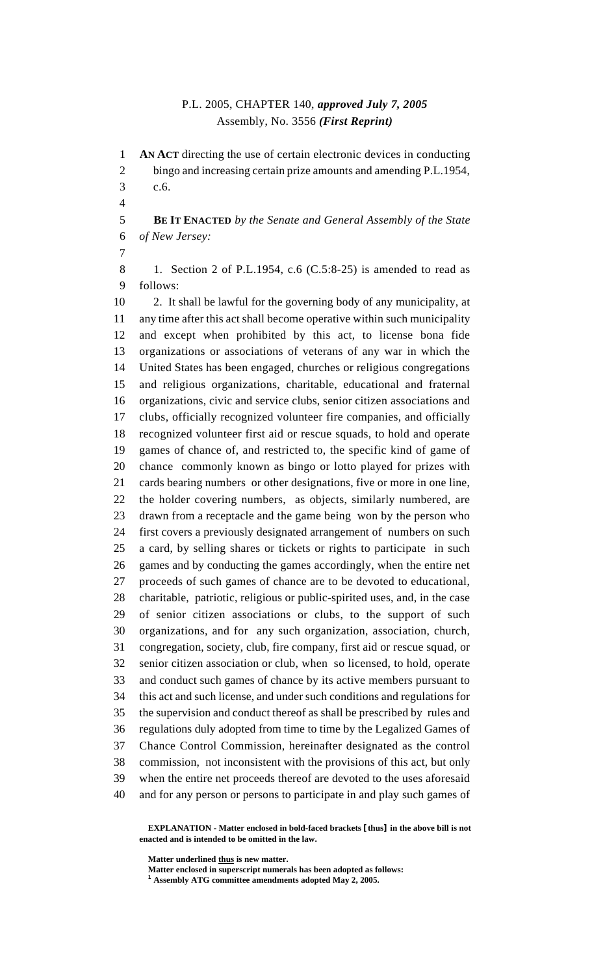## P.L. 2005, CHAPTER 140, *approved July 7, 2005* Assembly, No. 3556 *(First Reprint)*

**AN ACT** directing the use of certain electronic devices in conducting

 bingo and increasing certain prize amounts and amending P.L.1954, c.6. **BE IT ENACTED** *by the Senate and General Assembly of the State of New Jersey:* 8 1. Section 2 of P.L.1954, c.6 (C.5:8-25) is amended to read as follows: 2. It shall be lawful for the governing body of any municipality, at any time after this act shall become operative within such municipality and except when prohibited by this act, to license bona fide organizations or associations of veterans of any war in which the United States has been engaged, churches or religious congregations and religious organizations, charitable, educational and fraternal organizations, civic and service clubs, senior citizen associations and clubs, officially recognized volunteer fire companies, and officially recognized volunteer first aid or rescue squads, to hold and operate games of chance of, and restricted to, the specific kind of game of chance commonly known as bingo or lotto played for prizes with cards bearing numbers or other designations, five or more in one line, the holder covering numbers, as objects, similarly numbered, are drawn from a receptacle and the game being won by the person who first covers a previously designated arrangement of numbers on such a card, by selling shares or tickets or rights to participate in such games and by conducting the games accordingly, when the entire net proceeds of such games of chance are to be devoted to educational, charitable, patriotic, religious or public-spirited uses, and, in the case of senior citizen associations or clubs, to the support of such organizations, and for any such organization, association, church, congregation, society, club, fire company, first aid or rescue squad, or senior citizen association or club, when so licensed, to hold, operate and conduct such games of chance by its active members pursuant to this act and such license, and under such conditions and regulations for the supervision and conduct thereof as shall be prescribed by rules and regulations duly adopted from time to time by the Legalized Games of Chance Control Commission, hereinafter designated as the control commission, not inconsistent with the provisions of this act, but only when the entire net proceeds thereof are devoted to the uses aforesaid and for any person or persons to participate in and play such games of

**EXPLANATION - Matter enclosed in bold-faced brackets [thus] in the above bill is not enacted and is intended to be omitted in the law.**

**Matter underlined thus is new matter.**

**Matter enclosed in superscript numerals has been adopted as follows:**

**Assembly ATG committee amendments adopted May 2, 2005.**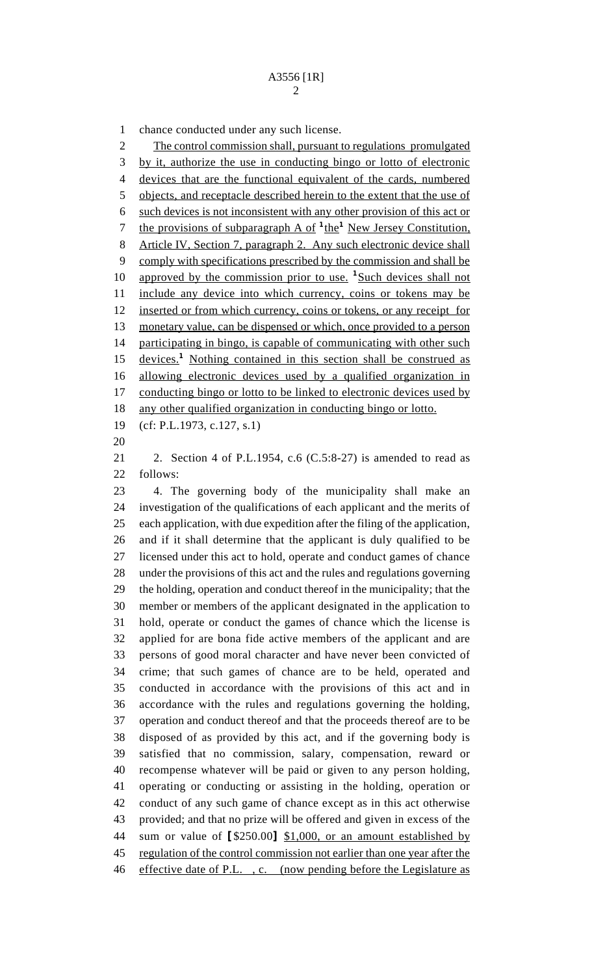chance conducted under any such license. 2 The control commission shall, pursuant to regulations promulgated by it, authorize the use in conducting bingo or lotto of electronic devices that are the functional equivalent of the cards, numbered objects, and receptacle described herein to the extent that the use of such devices is not inconsistent with any other provision of this act or 7 the provisions of subparagraph A of <sup>1</sup>the<sup>1</sup> New Jersey Constitution, Article IV, Section 7, paragraph 2. Any such electronic device shall comply with specifications prescribed by the commission and shall be 10 approved by the commission prior to use. <sup>1</sup>Such devices shall not 11 include any device into which currency, coins or tokens may be inserted or from which currency, coins or tokens, or any receipt for 13 monetary value, can be dispensed or which, once provided to a person 14 participating in bingo, is capable of communicating with other such 15 devices.<sup>1</sup> Nothing contained in this section shall be construed as allowing electronic devices used by a qualified organization in 17 conducting bingo or lotto to be linked to electronic devices used by any other qualified organization in conducting bingo or lotto. (cf: P.L.1973, c.127, s.1) 

21 2. Section 4 of P.L.1954, c.6  $(C.5:8-27)$  is amended to read as follows:

 4. The governing body of the municipality shall make an investigation of the qualifications of each applicant and the merits of each application, with due expedition after the filing of the application, and if it shall determine that the applicant is duly qualified to be licensed under this act to hold, operate and conduct games of chance under the provisions of this act and the rules and regulations governing the holding, operation and conduct thereof in the municipality; that the member or members of the applicant designated in the application to hold, operate or conduct the games of chance which the license is applied for are bona fide active members of the applicant and are persons of good moral character and have never been convicted of crime; that such games of chance are to be held, operated and conducted in accordance with the provisions of this act and in accordance with the rules and regulations governing the holding, operation and conduct thereof and that the proceeds thereof are to be disposed of as provided by this act, and if the governing body is satisfied that no commission, salary, compensation, reward or recompense whatever will be paid or given to any person holding, operating or conducting or assisting in the holding, operation or conduct of any such game of chance except as in this act otherwise provided; and that no prize will be offered and given in excess of the sum or value of **[**\$250.00**]** \$1,000, or an amount established by 45 regulation of the control commission not earlier than one year after the 46 effective date of P.L., c. (now pending before the Legislature as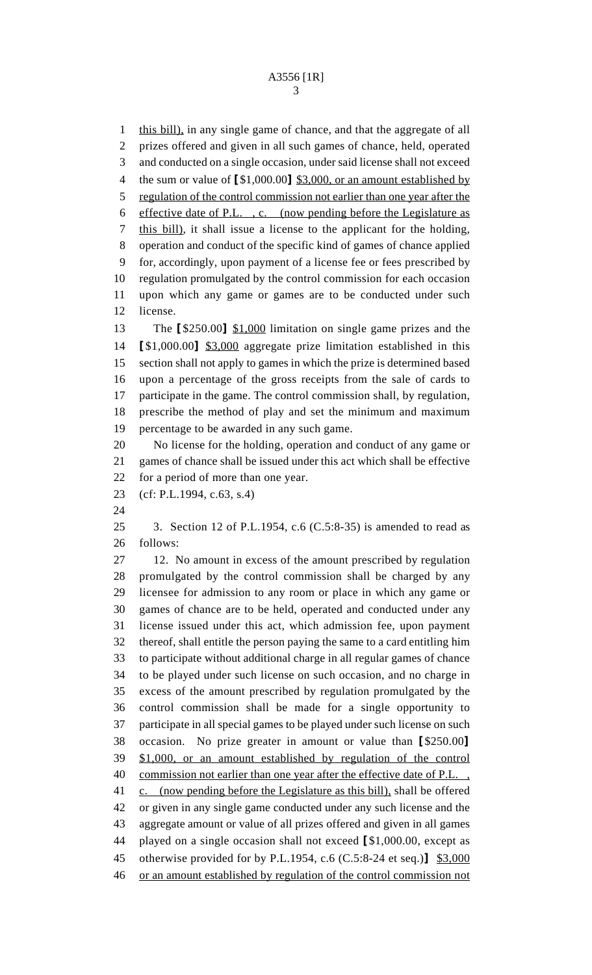this bill), in any single game of chance, and that the aggregate of all prizes offered and given in all such games of chance, held, operated and conducted on a single occasion, under said license shall not exceed the sum or value of **[**\$1,000.00**]** \$3,000, or an amount established by regulation of the control commission not earlier than one year after the effective date of P.L. , c. (now pending before the Legislature as this bill), it shall issue a license to the applicant for the holding, operation and conduct of the specific kind of games of chance applied for, accordingly, upon payment of a license fee or fees prescribed by regulation promulgated by the control commission for each occasion upon which any game or games are to be conducted under such license. The **[**\$250.00**]** \$1,000 limitation on single game prizes and the **[**\$1,000.00**]** \$3,000 aggregate prize limitation established in this section shall not apply to games in which the prize is determined based upon a percentage of the gross receipts from the sale of cards to participate in the game. The control commission shall, by regulation, prescribe the method of play and set the minimum and maximum percentage to be awarded in any such game. No license for the holding, operation and conduct of any game or games of chance shall be issued under this act which shall be effective for a period of more than one year. (cf: P.L.1994, c.63, s.4) 3. Section 12 of P.L.1954, c.6 (C.5:8-35) is amended to read as follows: 12. No amount in excess of the amount prescribed by regulation promulgated by the control commission shall be charged by any licensee for admission to any room or place in which any game or games of chance are to be held, operated and conducted under any license issued under this act, which admission fee, upon payment thereof, shall entitle the person paying the same to a card entitling him to participate without additional charge in all regular games of chance to be played under such license on such occasion, and no charge in excess of the amount prescribed by regulation promulgated by the control commission shall be made for a single opportunity to participate in all special games to be played under such license on such occasion. No prize greater in amount or value than **[**\$250.00**]**

 \$1,000, or an amount established by regulation of the control 40 commission not earlier than one year after the effective date of P.L., 41 c. (now pending before the Legislature as this bill), shall be offered or given in any single game conducted under any such license and the aggregate amount or value of all prizes offered and given in all games played on a single occasion shall not exceed **[**\$1,000.00, except as

 otherwise provided for by P.L.1954, c.6 (C.5:8-24 et seq.)**]** \$3,000 or an amount established by regulation of the control commission not